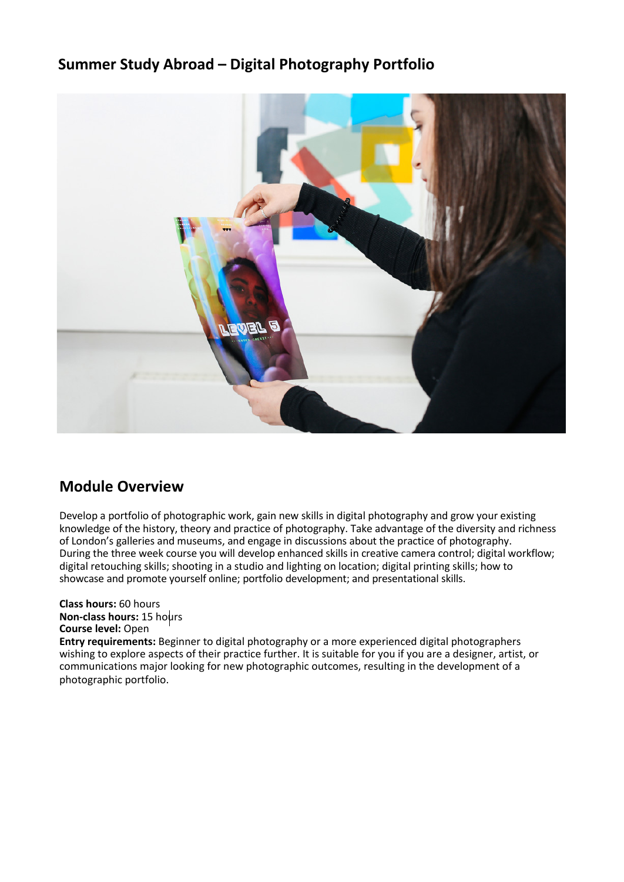## **Summer Study Abroad – Digital Photography Portfolio**



## **Module Overview**

 During the three week course you will develop enhanced skills in creative camera control; digital workflow; Develop a portfolio of photographic work, gain new skills in digital photography and grow your existing knowledge of the history, theory and practice of photography. Take advantage of the diversity and richness of London's galleries and museums, and engage in discussions about the practice of photography. digital retouching skills; shooting in a studio and lighting on location; digital printing skills; how to showcase and promote yourself online; portfolio development; and presentational skills.

#### **Class hours:** 60 hours **Non-class hours:** 15 hours **Course level:** Open

**Entry requirements:** Beginner to digital photography or a more experienced digital photographers wishing to explore aspects of their practice further. It is suitable for you if you are a designer, artist, or communications major looking for new photographic outcomes, resulting in the development of a photographic portfolio.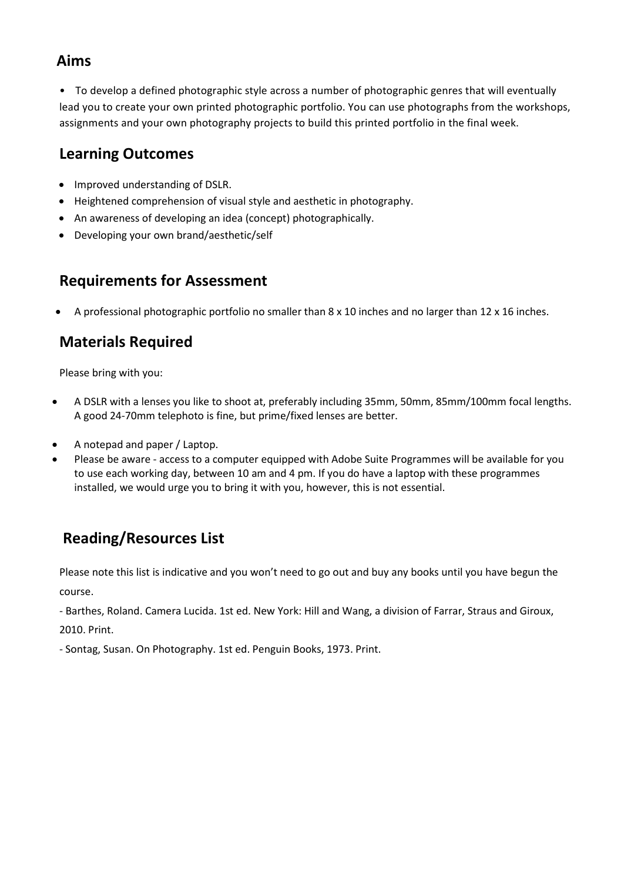### **Aims**

 lead you to create your own printed photographic portfolio. You can use photographs from the workshops, assignments and your own photography projects to build this printed portfolio in the final week. • To develop a defined photographic style across a number of photographic genres that will eventually

## **Learning Outcomes**

- Improved understanding of DSLR.
- Heightened comprehension of visual style and aesthetic in photography.
- An awareness of developing an idea (concept) photographically.
- Developing your own brand/aesthetic/self

# **Requirements for Assessment**

• A professional photographic portfolio no smaller than 8 x 10 inches and no larger than 12 x 16 inches.

# **Materials Required**

Please bring with you:

- • A DSLR with a lenses you like to shoot at, preferably including 35mm, 50mm, 85mm/100mm focal lengths. A good 24-70mm telephoto is fine, but prime/fixed lenses are better.
- A notepad and paper / Laptop.
- • Please be aware access to a computer equipped with Adobe Suite Programmes will be available for you to use each working day, between 10 am and 4 pm. If you do have a laptop with these programmes installed, we would urge you to bring it with you, however, this is not essential.

# **Reading/Resources List**

Please note this list is indicative and you won't need to go out and buy any books until you have begun the course.

 - Barthes, Roland. Camera Lucida. 1st ed. New York: Hill and Wang, a division of Farrar, Straus and Giroux, 2010. Print.

- Sontag, Susan. On Photography. 1st ed. Penguin Books, 1973. Print.